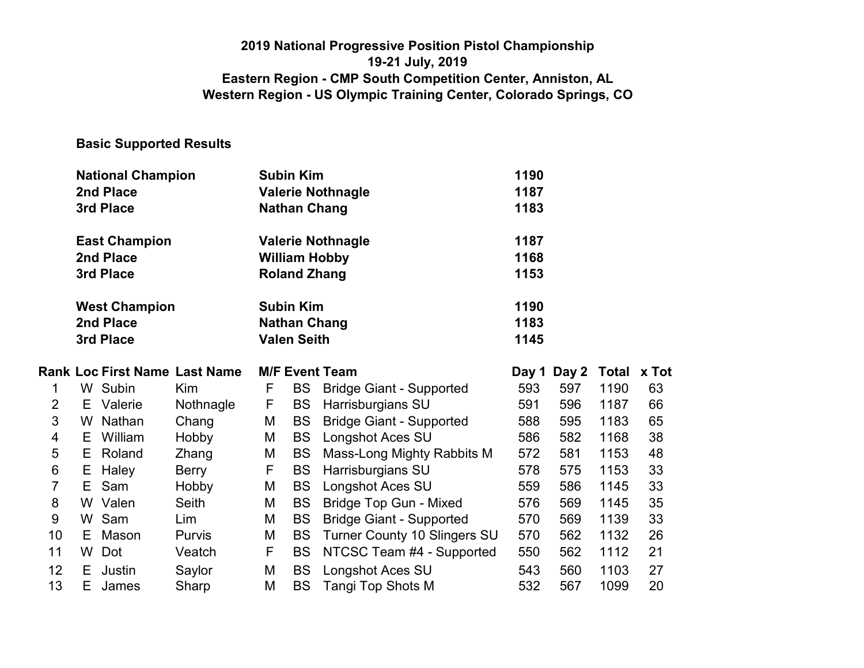### 2019 National Progressive Position Pistol Championship 19-21 July, 2019 Eastern Region - CMP South Competition Center, Anniston, AL Western Region - US Olympic Training Center, Colorado Springs, CO

### Basic Supported Results

|    | <b>National Champion</b><br>2nd Place<br>3rd Place |                                                |                                      |    | <b>Subin Kim</b><br><b>Nathan Chang</b> | <b>Valerie Nothnagle</b>                         | 1190<br>1187<br>1183 |       |             |    |  |
|----|----------------------------------------------------|------------------------------------------------|--------------------------------------|----|-----------------------------------------|--------------------------------------------------|----------------------|-------|-------------|----|--|
|    |                                                    | <b>East Champion</b><br>2nd Place<br>3rd Place |                                      |    | <b>Roland Zhang</b>                     | <b>Valerie Nothnagle</b><br><b>William Hobby</b> | 1187<br>1168<br>1153 |       |             |    |  |
|    | <b>West Champion</b><br>2nd Place<br>3rd Place     |                                                |                                      |    | <b>Subin Kim</b><br><b>Valen Seith</b>  | <b>Nathan Chang</b>                              | 1190<br>1183<br>1145 |       |             |    |  |
|    |                                                    |                                                | <b>Rank Loc First Name Last Name</b> |    |                                         | <b>M/F Event Team</b>                            | Day 1                | Day 2 | Total x Tot |    |  |
| 1  |                                                    | W Subin                                        | <b>Kim</b>                           | F  | BS                                      | <b>Bridge Giant - Supported</b>                  | 593                  | 597   | 1190        | 63 |  |
| 2  |                                                    | E Valerie                                      | Nothnagle                            | F  | BS                                      | Harrisburgians SU                                | 591                  | 596   | 1187        | 66 |  |
| 3  |                                                    | W Nathan                                       | Chang                                | M  | <b>BS</b>                               | <b>Bridge Giant - Supported</b>                  | 588                  | 595   | 1183        | 65 |  |
| 4  |                                                    | E William                                      | Hobby                                | М  | <b>BS</b>                               | Longshot Aces SU                                 | 586                  | 582   | 1168        | 38 |  |
| 5  |                                                    | E Roland                                       | Zhang                                | М  | <b>BS</b>                               | Mass-Long Mighty Rabbits M                       | 572                  | 581   | 1153        | 48 |  |
| 6  |                                                    | E Haley                                        | Berry                                | F  | <b>BS</b>                               | Harrisburgians SU                                | 578                  | 575   | 1153        | 33 |  |
| 7  | E.                                                 | Sam                                            | Hobby                                | M  | <b>BS</b>                               | <b>Longshot Aces SU</b>                          | 559                  | 586   | 1145        | 33 |  |
| 8  |                                                    | W Valen                                        | <b>Seith</b>                         | Μ  | <b>BS</b>                               | <b>Bridge Top Gun - Mixed</b>                    | 576                  | 569   | 1145        | 35 |  |
| 9  |                                                    | W Sam                                          | Lim                                  | Μ  | <b>BS</b>                               | <b>Bridge Giant - Supported</b>                  | 570                  | 569   | 1139        | 33 |  |
| 10 |                                                    | E Mason                                        | <b>Purvis</b>                        | Μ  | <b>BS</b>                               | <b>Turner County 10 Slingers SU</b>              | 570                  | 562   | 1132        | 26 |  |
| 11 | W                                                  | Dot                                            | Veatch                               | F. | <b>BS</b>                               | NTCSC Team #4 - Supported                        | 550                  | 562   | 1112        | 21 |  |
| 12 | E.                                                 | Justin                                         | Saylor                               | Μ  | <b>BS</b>                               | Longshot Aces SU                                 | 543                  | 560   | 1103        | 27 |  |
| 13 | E.                                                 | James                                          | Sharp                                | M  | <b>BS</b>                               | Tangi Top Shots M                                | 532                  | 567   | 1099        | 20 |  |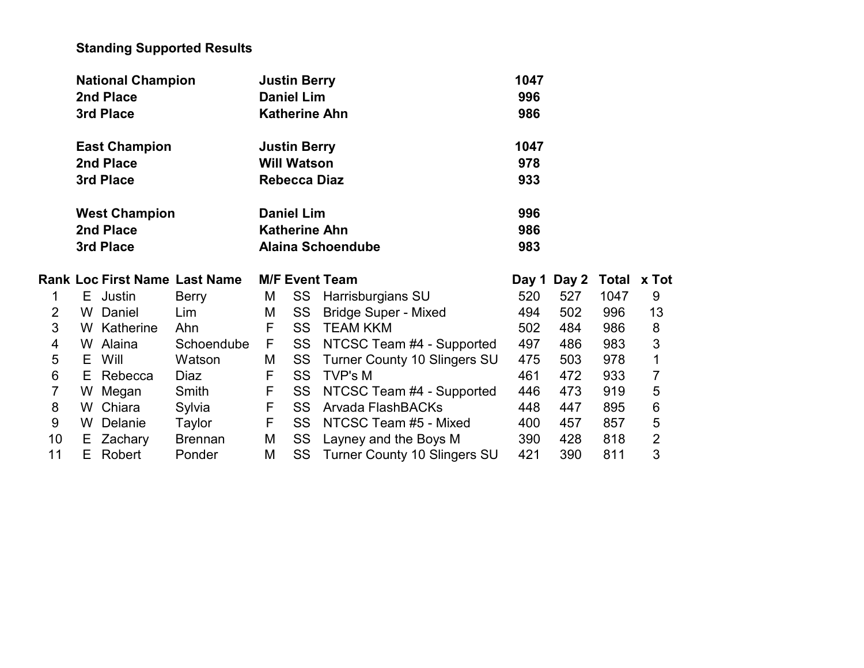# Standing Supported Results

|                | <b>National Champion</b> |                      |                               | <b>Justin Berry</b> |                     | 1047                                |       |       |      |                     |
|----------------|--------------------------|----------------------|-------------------------------|---------------------|---------------------|-------------------------------------|-------|-------|------|---------------------|
|                |                          | 2nd Place            |                               |                     | <b>Daniel Lim</b>   |                                     | 996   |       |      |                     |
|                |                          | 3rd Place            |                               |                     |                     | <b>Katherine Ahn</b>                | 986   |       |      |                     |
|                |                          | <b>East Champion</b> |                               |                     | <b>Justin Berry</b> |                                     | 1047  |       |      |                     |
|                |                          | 2nd Place            |                               |                     | <b>Will Watson</b>  |                                     | 978   |       |      |                     |
|                |                          | 3rd Place            |                               |                     | <b>Rebecca Diaz</b> |                                     | 933   |       |      |                     |
|                |                          | <b>West Champion</b> |                               | <b>Daniel Lim</b>   |                     |                                     |       |       |      |                     |
|                |                          | 2nd Place            |                               |                     |                     | <b>Katherine Ahn</b>                | 986   |       |      |                     |
|                |                          | 3rd Place            |                               |                     |                     | <b>Alaina Schoendube</b>            | 983   |       |      |                     |
|                |                          |                      |                               |                     |                     |                                     |       |       |      |                     |
|                |                          |                      | Rank Loc First Name Last Name |                     |                     | <b>M/F Event Team</b>               | Day 1 | Day 2 |      | Total x Tot         |
| 1              |                          | E Justin             | Berry                         | М                   | SS                  | Harrisburgians SU                   | 520   | 527   | 1047 | 9                   |
| 2              |                          | W Daniel             | Lim                           | M                   | SS                  | <b>Bridge Super - Mixed</b>         | 494   | 502   | 996  | 13                  |
| 3              |                          | W Katherine          | Ahn                           | F                   | <b>SS</b>           | <b>TEAM KKM</b>                     | 502   | 484   | 986  | 8                   |
| $\overline{4}$ |                          | W Alaina             | Schoendube                    | F                   | SS                  | NTCSC Team #4 - Supported           | 497   | 486   | 983  | 3                   |
| 5              |                          | E Will               | Watson                        | M                   | <b>SS</b>           | <b>Turner County 10 Slingers SU</b> | 475   | 503   | 978  | $\mathbf 1$         |
| $\,6$          |                          | E Rebecca            | Diaz                          | F                   | <b>SS</b>           | <b>TVP's M</b>                      | 461   | 472   | 933  | 7                   |
| $\overline{7}$ |                          | W Megan              | Smith                         | F                   | SS                  | NTCSC Team #4 - Supported           | 446   | 473   | 919  | 5                   |
| 8              |                          | W Chiara             | Sylvia                        | F                   | SS                  | Arvada FlashBACKs                   | 448   | 447   | 895  | 6                   |
| 9              |                          | W Delanie            | Taylor                        | E                   | <b>SS</b>           | NTCSC Team #5 - Mixed               | 400   | 457   | 857  | 5                   |
| 10             |                          | E Zachary            | <b>Brennan</b>                | M                   | SS                  | Layney and the Boys M               | 390   | 428   | 818  | $\overline{2}$<br>3 |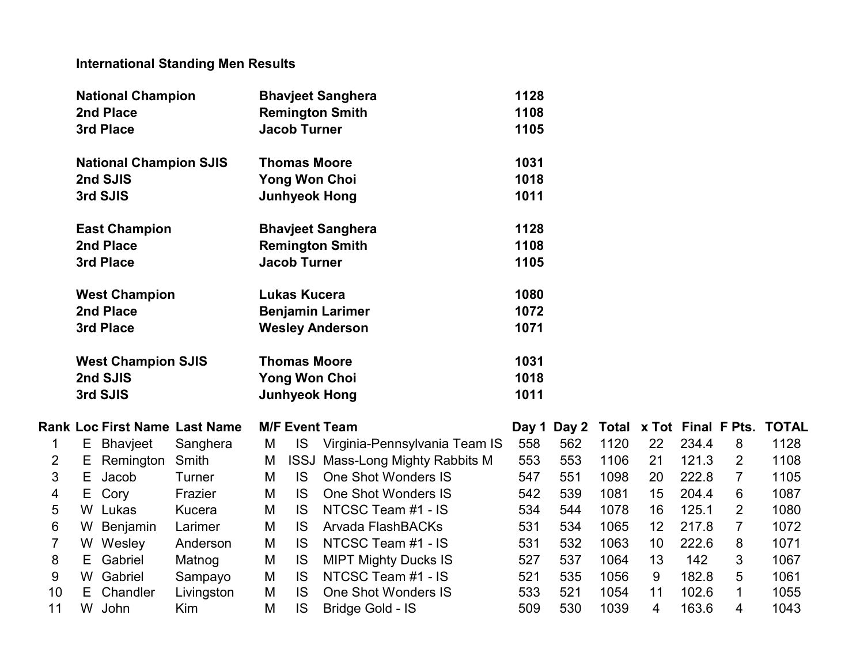# International Standing Men Results

|    |                           | <b>National Champion</b>      |                                      |   |                     | <b>Bhavjeet Sanghera</b>               | 1128 |                                      |      |    |       |                |              |
|----|---------------------------|-------------------------------|--------------------------------------|---|---------------------|----------------------------------------|------|--------------------------------------|------|----|-------|----------------|--------------|
|    |                           | 2nd Place                     |                                      |   |                     | <b>Remington Smith</b>                 | 1108 |                                      |      |    |       |                |              |
|    |                           | 3rd Place                     |                                      |   | <b>Jacob Turner</b> |                                        | 1105 |                                      |      |    |       |                |              |
|    |                           | <b>National Champion SJIS</b> |                                      |   | <b>Thomas Moore</b> |                                        | 1031 |                                      |      |    |       |                |              |
|    |                           | 2nd SJIS                      |                                      |   |                     | <b>Yong Won Choi</b>                   | 1018 |                                      |      |    |       |                |              |
|    |                           | 3rd SJIS                      |                                      |   |                     | <b>Junhyeok Hong</b>                   | 1011 |                                      |      |    |       |                |              |
|    |                           | <b>East Champion</b>          |                                      |   |                     | <b>Bhavjeet Sanghera</b>               | 1128 |                                      |      |    |       |                |              |
|    |                           | 2nd Place                     |                                      |   |                     | <b>Remington Smith</b>                 | 1108 |                                      |      |    |       |                |              |
|    |                           | 3rd Place                     |                                      |   | <b>Jacob Turner</b> |                                        | 1105 |                                      |      |    |       |                |              |
|    |                           | <b>West Champion</b>          |                                      |   | <b>Lukas Kucera</b> |                                        | 1080 |                                      |      |    |       |                |              |
|    |                           | 2nd Place                     |                                      |   |                     | <b>Benjamin Larimer</b>                | 1072 |                                      |      |    |       |                |              |
|    | 3rd Place                 |                               |                                      |   |                     | <b>Wesley Anderson</b>                 | 1071 |                                      |      |    |       |                |              |
|    | <b>West Champion SJIS</b> |                               |                                      |   | <b>Thomas Moore</b> |                                        | 1031 |                                      |      |    |       |                |              |
|    |                           | 2nd SJIS                      |                                      |   |                     | <b>Yong Won Choi</b>                   | 1018 |                                      |      |    |       |                |              |
|    |                           | 3rd SJIS                      |                                      |   |                     | <b>Junhyeok Hong</b>                   | 1011 |                                      |      |    |       |                |              |
|    |                           |                               | <b>Rank Loc First Name Last Name</b> |   |                     | <b>M/F Event Team</b>                  |      | Day 1 Day 2 Total x Tot Final F Pts. |      |    |       |                | <b>TOTAL</b> |
| 1  | Е                         | Bhavjeet                      | Sanghera                             | M | <b>IS</b>           | Virginia-Pennsylvania Team IS          | 558  | 562                                  | 1120 | 22 | 234.4 | 8              | 1128         |
| 2  | Е                         | Remington Smith               |                                      | M |                     | <b>ISSJ Mass-Long Mighty Rabbits M</b> | 553  | 553                                  | 1106 | 21 | 121.3 | $\overline{2}$ | 1108         |
| 3  | Е                         | Jacob                         | Turner                               | M | <b>IS</b>           | <b>One Shot Wonders IS</b>             | 547  | 551                                  | 1098 | 20 | 222.8 | $\overline{7}$ | 1105         |
| 4  | Е                         | Cory                          | Frazier                              | M | <b>IS</b>           | <b>One Shot Wonders IS</b>             | 542  | 539                                  | 1081 | 15 | 204.4 | 6              | 1087         |
| 5  |                           | W Lukas                       | Kucera                               | M | <b>IS</b>           | NTCSC Team #1 - IS                     | 534  | 544                                  | 1078 | 16 | 125.1 | $\overline{2}$ | 1080         |
| 6  | W                         | Benjamin                      | Larimer                              | M | <b>IS</b>           | Arvada FlashBACKs                      | 531  | 534                                  | 1065 | 12 | 217.8 | $\overline{7}$ | 1072         |
| 7  |                           | W Wesley                      | Anderson                             | M | <b>IS</b>           | NTCSC Team #1 - IS                     | 531  | 532                                  | 1063 | 10 | 222.6 | 8              | 1071         |
| 8  | E.                        | Gabriel                       | Matnog                               | M | <b>IS</b>           | <b>MIPT Mighty Ducks IS</b>            | 527  | 537                                  | 1064 | 13 | 142   | 3              | 1067         |
| 9  |                           | W Gabriel                     | Sampayo                              | M | <b>IS</b>           | NTCSC Team #1 - IS                     | 521  | 535                                  | 1056 | 9  | 182.8 | 5              | 1061         |
| 10 | Е                         | Chandler                      | Livingston                           | M | <b>IS</b>           | <b>One Shot Wonders IS</b>             | 533  | 521                                  | 1054 | 11 | 102.6 | 1              | 1055         |
| 11 | W                         | John                          | Kim                                  | M | <b>IS</b>           | Bridge Gold - IS                       | 509  | 530                                  | 1039 | 4  | 163.6 | 4              | 1043         |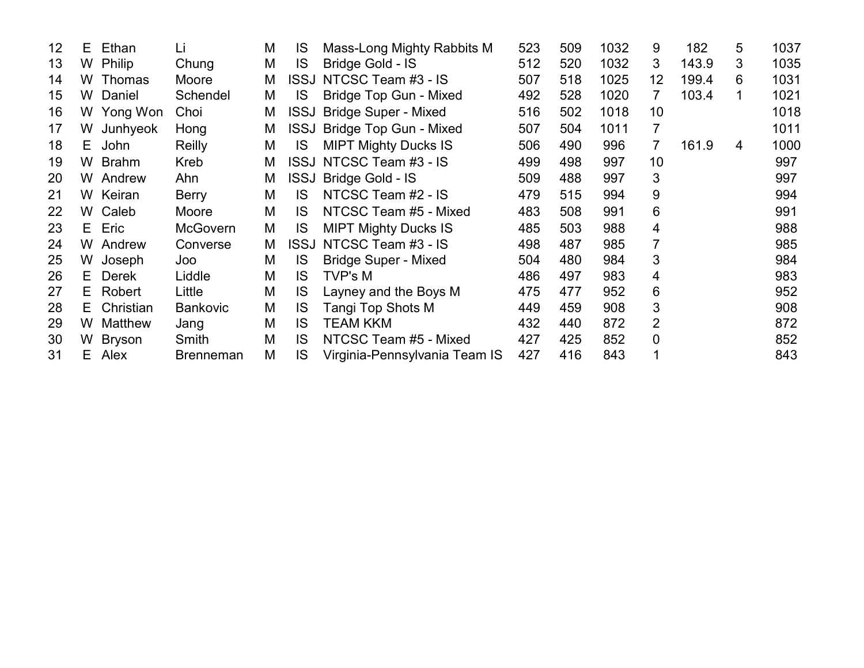| 12 | E. | Ethan         | Li               | M | IS          | Mass-Long Mighty Rabbits M    | 523 | 509 | 1032 | 9                 | 182   | 5 | 1037 |
|----|----|---------------|------------------|---|-------------|-------------------------------|-----|-----|------|-------------------|-------|---|------|
| 13 | W  | <b>Philip</b> | Chung            | M | <b>IS</b>   | Bridge Gold - IS              | 512 | 520 | 1032 | 3                 | 143.9 | 3 | 1035 |
| 14 | W  | <b>Thomas</b> | Moore            | M |             | ISSJ NTCSC Team #3 - IS       | 507 | 518 | 1025 | $12 \overline{ }$ | 199.4 | 6 | 1031 |
| 15 | W  | Daniel        | Schendel         | M | IS          | Bridge Top Gun - Mixed        | 492 | 528 | 1020 | 7                 | 103.4 |   | 1021 |
| 16 | W  | Yong Won      | Choi             | M | <b>ISSJ</b> | <b>Bridge Super - Mixed</b>   | 516 | 502 | 1018 | 10                |       |   | 1018 |
| 17 | W  | Junhyeok      | Hong             | M |             | ISSJ Bridge Top Gun - Mixed   | 507 | 504 | 1011 | 7                 |       |   | 1011 |
| 18 | E. | John          | Reilly           | M | IS          | <b>MIPT Mighty Ducks IS</b>   | 506 | 490 | 996  | 7                 | 161.9 | 4 | 1000 |
| 19 | W  | <b>Brahm</b>  | Kreb             | М |             | ISSJ NTCSC Team #3 - IS       | 499 | 498 | 997  | 10                |       |   | 997  |
| 20 | W  | Andrew        | Ahn              | M | <b>ISSJ</b> | Bridge Gold - IS              | 509 | 488 | 997  | 3                 |       |   | 997  |
| 21 | W  | Keiran        | <b>Berry</b>     | M | IS.         | NTCSC Team #2 - IS            | 479 | 515 | 994  | 9                 |       |   | 994  |
| 22 | W  | Caleb         | Moore            | M | IS          | NTCSC Team #5 - Mixed         | 483 | 508 | 991  | 6                 |       |   | 991  |
| 23 | E. | Eric          | <b>McGovern</b>  | M | <b>IS</b>   | <b>MIPT Mighty Ducks IS</b>   | 485 | 503 | 988  | 4                 |       |   | 988  |
| 24 | W  | Andrew        | Converse         | M |             | ISSJ NTCSC Team #3 - IS       | 498 | 487 | 985  | $\overline{7}$    |       |   | 985  |
| 25 | W  | Joseph        | Joo              | M | <b>IS</b>   | <b>Bridge Super - Mixed</b>   | 504 | 480 | 984  | 3                 |       |   | 984  |
| 26 | E. | <b>Derek</b>  | Liddle           | M | IS          | TVP's M                       | 486 | 497 | 983  | 4                 |       |   | 983  |
| 27 | E. | Robert        | Little           | M | IS          | Layney and the Boys M         | 475 | 477 | 952  | 6                 |       |   | 952  |
| 28 | E. | Christian     | <b>Bankovic</b>  | M | IS          | Tangi Top Shots M             | 449 | 459 | 908  | 3                 |       |   | 908  |
| 29 | W  | Matthew       | Jang             | M | IS          | <b>TEAM KKM</b>               | 432 | 440 | 872  | 2                 |       |   | 872  |
| 30 | W  | <b>Bryson</b> | Smith            | M | IS          | NTCSC Team #5 - Mixed         | 427 | 425 | 852  | 0                 |       |   | 852  |
| 31 | E. | Alex          | <b>Brenneman</b> | M | IS          | Virginia-Pennsylvania Team IS | 427 | 416 | 843  | 1                 |       |   | 843  |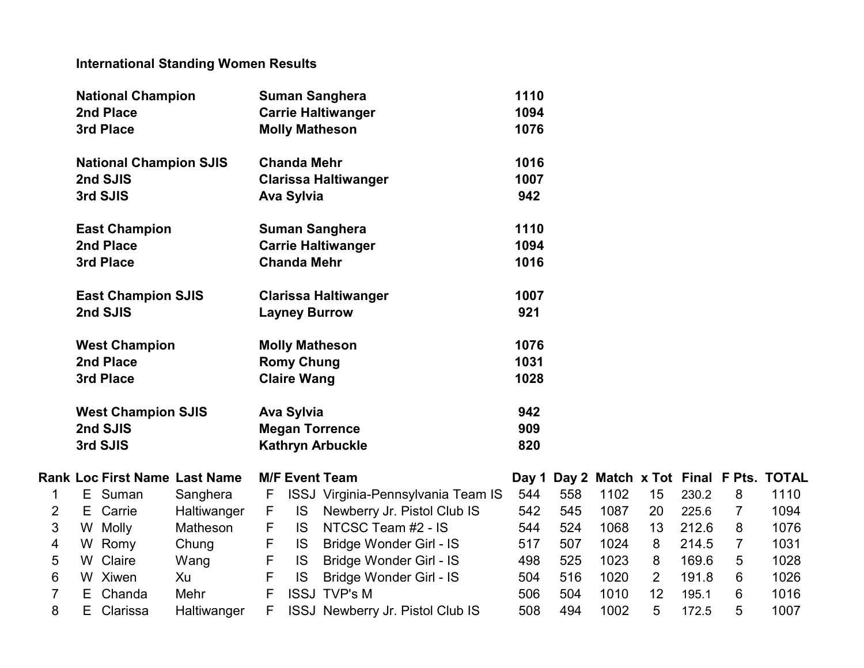## International Standing Women Results

|                |    | <b>National Champion</b>      |                                      |    |                      | <b>Suman Sanghera</b>                   | 1110 |     |      |                |       |                |                                            |
|----------------|----|-------------------------------|--------------------------------------|----|----------------------|-----------------------------------------|------|-----|------|----------------|-------|----------------|--------------------------------------------|
|                |    | 2nd Place                     |                                      |    |                      | <b>Carrie Haltiwanger</b>               | 1094 |     |      |                |       |                |                                            |
|                |    | 3rd Place                     |                                      |    |                      | <b>Molly Matheson</b>                   | 1076 |     |      |                |       |                |                                            |
|                |    | <b>National Champion SJIS</b> |                                      |    | <b>Chanda Mehr</b>   |                                         | 1016 |     |      |                |       |                |                                            |
|                |    | 2nd SJIS                      |                                      |    |                      | <b>Clarissa Haltiwanger</b>             | 1007 |     |      |                |       |                |                                            |
|                |    | 3rd SJIS                      |                                      |    | <b>Ava Sylvia</b>    |                                         | 942  |     |      |                |       |                |                                            |
|                |    | <b>East Champion</b>          |                                      |    |                      | <b>Suman Sanghera</b>                   | 1110 |     |      |                |       |                |                                            |
|                |    | 2nd Place                     |                                      |    |                      | <b>Carrie Haltiwanger</b>               | 1094 |     |      |                |       |                |                                            |
|                |    | 3rd Place                     |                                      |    | <b>Chanda Mehr</b>   |                                         | 1016 |     |      |                |       |                |                                            |
|                |    | <b>East Champion SJIS</b>     |                                      |    |                      | <b>Clarissa Haltiwanger</b>             | 1007 |     |      |                |       |                |                                            |
|                |    | 2nd SJIS                      |                                      |    | <b>Layney Burrow</b> |                                         | 921  |     |      |                |       |                |                                            |
|                |    | <b>West Champion</b>          |                                      |    |                      | <b>Molly Matheson</b>                   | 1076 |     |      |                |       |                |                                            |
|                |    | 2nd Place                     |                                      |    | <b>Romy Chung</b>    |                                         | 1031 |     |      |                |       |                |                                            |
|                |    | 3rd Place                     |                                      |    | <b>Claire Wang</b>   |                                         | 1028 |     |      |                |       |                |                                            |
|                |    | <b>West Champion SJIS</b>     |                                      |    | <b>Ava Sylvia</b>    |                                         | 942  |     |      |                |       |                |                                            |
|                |    | 2nd SJIS                      |                                      |    |                      | <b>Megan Torrence</b>                   | 909  |     |      |                |       |                |                                            |
|                |    | 3rd SJIS                      |                                      |    |                      | <b>Kathryn Arbuckle</b>                 | 820  |     |      |                |       |                |                                            |
|                |    |                               | <b>Rank Loc First Name Last Name</b> |    |                      | <b>M/F Event Team</b>                   |      |     |      |                |       |                | Day 1 Day 2 Match x Tot Final F Pts. TOTAL |
| 1              |    | E Suman                       | Sanghera                             | F. |                      | ISSJ Virginia-Pennsylvania Team IS      | 544  | 558 | 1102 | 15             | 230.2 | 8              | 1110                                       |
| 2              | E. | Carrie                        | Haltiwanger                          | F  | <b>IS</b>            | Newberry Jr. Pistol Club IS             | 542  | 545 | 1087 | 20             | 225.6 | 7              | 1094                                       |
| 3              | W  | Molly                         | Matheson                             | F  | IS.                  | NTCSC Team #2 - IS                      | 544  | 524 | 1068 | 13             | 212.6 | 8              | 1076                                       |
| 4              | W  | Romy                          | Chung                                | F  | <b>IS</b>            | <b>Bridge Wonder Girl - IS</b>          | 517  | 507 | 1024 | 8              | 214.5 | $\overline{7}$ | 1031                                       |
| 5              | W  | Claire                        | Wang                                 | F  | <b>IS</b>            | Bridge Wonder Girl - IS                 | 498  | 525 | 1023 | 8              | 169.6 | 5              | 1028                                       |
| 6              |    | W Xiwen                       | Xu                                   | F  | <b>IS</b>            | Bridge Wonder Girl - IS                 | 504  | 516 | 1020 | $\overline{2}$ | 191.8 | 6              | 1026                                       |
| $\overline{7}$ | E. | Chanda                        | Mehr                                 | F  |                      | <b>ISSJ TVP's M</b>                     | 506  | 504 | 1010 | 12             | 195.1 | 6              | 1016                                       |
| 8              |    | E Clarissa                    | Haltiwanger                          | F  |                      | <b>ISSJ Newberry Jr. Pistol Club IS</b> | 508  | 494 | 1002 | 5              | 172.5 | 5              | 1007                                       |

|     |     |      |    |       |   | )ay 1 Day 2 Match <b>x</b> Tot Final F Pts. TOTAL |
|-----|-----|------|----|-------|---|---------------------------------------------------|
| 544 | 558 | 1102 | 15 | 230.2 | 8 | 1110                                              |
| 542 | 545 | 1087 | 20 | 225.6 | 7 | 1094                                              |
| 544 | 524 | 1068 | 13 | 212.6 | 8 | 1076                                              |
| 517 | 507 | 1024 | 8  | 214.5 | 7 | 1031                                              |
| 498 | 525 | 1023 | 8  | 169.6 | 5 | 1028                                              |
| 504 | 516 | 1020 | 2  | 191.8 | 6 | 1026                                              |
| 506 | 504 | 1010 | 12 | 195.1 | 6 | 1016                                              |
| 508 | 494 | 1002 | 5  | 172.5 | 5 | 1007                                              |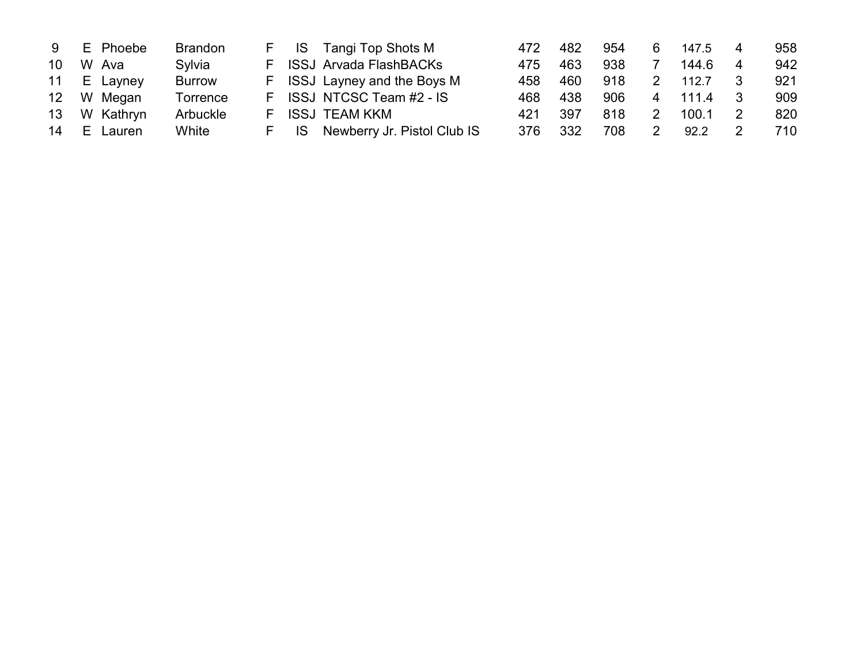| 9                 |       | E Phoebe    | <b>Brandon</b> |    | F IS Tangi Top Shots M         | 472  | 482 | 954 | 6 | 147.5 | 958 |
|-------------------|-------|-------------|----------------|----|--------------------------------|------|-----|-----|---|-------|-----|
| 10                |       | W Ava       | Sylvia         | F. | <b>ISSJ Arvada FlashBACKs</b>  | 475. | 463 | 938 |   | 144.6 | 942 |
|                   |       | 11 E Layney | <b>Burrow</b>  |    | F ISSJ Layney and the Boys M   | 458  | 460 | 918 |   | 112.7 | 921 |
| $12 \overline{ }$ |       | W Megan     | Torrence       |    | F ISSJ NTCSC Team #2 - IS      | 468. | 438 | 906 | 4 | 111.4 | 909 |
| 13 <sup>°</sup>   |       | W Kathryn   | Arbuckle       | F. | ISSJ TEAM KKM                  | 421  | 397 | 818 |   | 100.1 | 820 |
| 14                | - E - | Lauren      | White          |    | IS Newberry Jr. Pistol Club IS | 376  | 332 | 708 |   | 92.2  | 710 |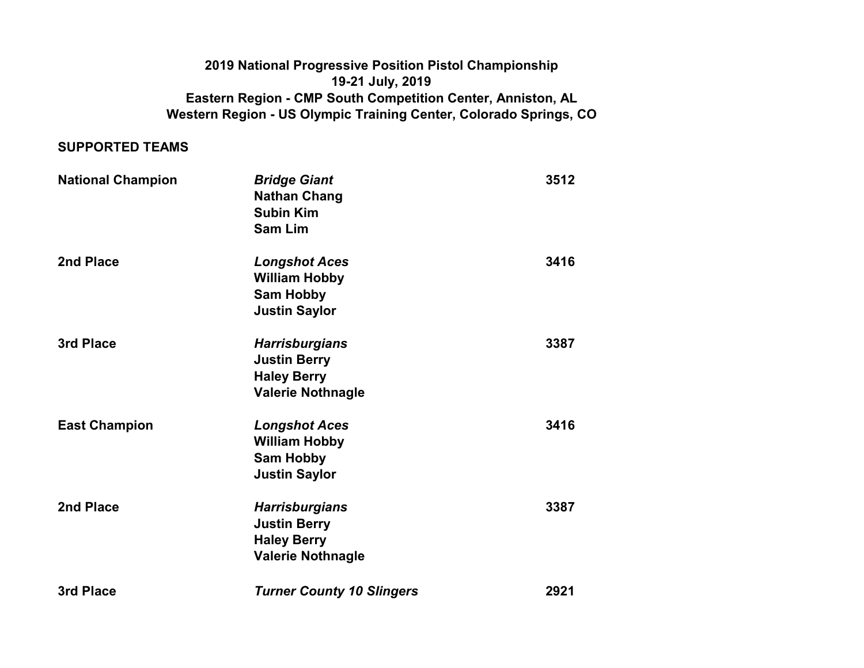### Eastern Region - CMP South Competition Center, Anniston, AL Western Region - US Olympic Training Center, Colorado Springs, CO 2019 National Progressive Position Pistol Championship 19-21 July, 2019

#### SUPPORTED TEAMS

| <b>National Champion</b> | <b>Bridge Giant</b><br><b>Nathan Chang</b><br><b>Subin Kim</b><br><b>Sam Lim</b>               | 3512 |
|--------------------------|------------------------------------------------------------------------------------------------|------|
| 2nd Place                | <b>Longshot Aces</b><br><b>William Hobby</b><br><b>Sam Hobby</b><br><b>Justin Saylor</b>       | 3416 |
| 3rd Place                | <b>Harrisburgians</b><br><b>Justin Berry</b><br><b>Haley Berry</b><br><b>Valerie Nothnagle</b> | 3387 |
| <b>East Champion</b>     | <b>Longshot Aces</b><br><b>William Hobby</b><br><b>Sam Hobby</b><br><b>Justin Saylor</b>       | 3416 |
| 2nd Place                | <b>Harrisburgians</b><br><b>Justin Berry</b><br><b>Haley Berry</b><br><b>Valerie Nothnagle</b> | 3387 |
| 3rd Place                | <b>Turner County 10 Slingers</b>                                                               | 2921 |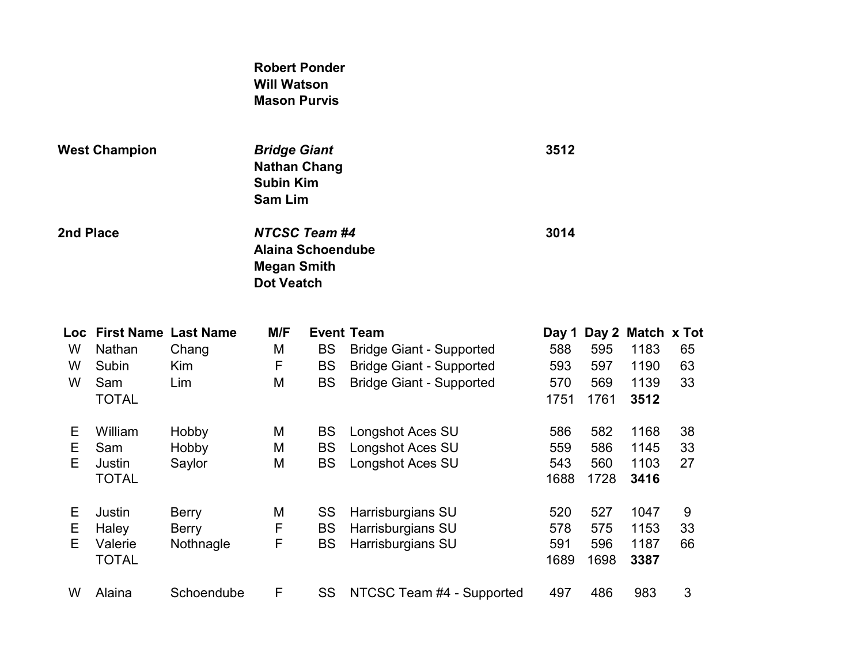### Robert Ponder Will Watson Mason Purvis

| <b>West Champion</b> |              | <b>Bridge Giant</b><br><b>Nathan Chang</b><br><b>Subin Kim</b><br><b>Sam Lim</b> |                                                                                             |           | 3512                            |      |      |                         |    |
|----------------------|--------------|----------------------------------------------------------------------------------|---------------------------------------------------------------------------------------------|-----------|---------------------------------|------|------|-------------------------|----|
| 2nd Place            |              |                                                                                  | <b>NTCSC Team #4</b><br><b>Alaina Schoendube</b><br><b>Megan Smith</b><br><b>Dot Veatch</b> |           |                                 | 3014 |      |                         |    |
| Loc.                 |              | <b>First Name Last Name</b>                                                      | M/F                                                                                         |           | <b>Event Team</b>               |      |      | Day 1 Day 2 Match x Tot |    |
| W                    | Nathan       | Chang                                                                            | M                                                                                           | BS        | <b>Bridge Giant - Supported</b> | 588  | 595  | 1183                    | 65 |
| W                    | Subin        | Kim                                                                              | F                                                                                           | <b>BS</b> | <b>Bridge Giant - Supported</b> | 593  | 597  | 1190                    | 63 |
| W                    | Sam          | Lim                                                                              | M                                                                                           | <b>BS</b> | <b>Bridge Giant - Supported</b> | 570  | 569  | 1139                    | 33 |
|                      | <b>TOTAL</b> |                                                                                  |                                                                                             |           |                                 | 1751 | 1761 | 3512                    |    |
| Ε                    | William      | Hobby                                                                            | M                                                                                           | <b>BS</b> | Longshot Aces SU                | 586  | 582  | 1168                    | 38 |
| Е                    | Sam          | Hobby                                                                            | M                                                                                           | BS        | Longshot Aces SU                | 559  | 586  | 1145                    | 33 |
| E                    | Justin       | Saylor                                                                           | M                                                                                           | BS        | Longshot Aces SU                | 543  | 560  | 1103                    | 27 |
|                      | <b>TOTAL</b> |                                                                                  |                                                                                             |           |                                 | 1688 | 1728 | 3416                    |    |
|                      |              |                                                                                  |                                                                                             |           |                                 |      |      |                         |    |

E Justin Berry M SS Harrisburgians SU 520 527 1047 9 E Haley Berry F BS Harrisburgians SU 578 575 1153 33 Valerie Nothnagle F BS Harrisburgians SU 591 596<br>TOTAL 1689 1698 TOTAL 1689 1698 3387 W Alaina Schoendube F SS NTCSC Team #4 - Supported 497 486 983 3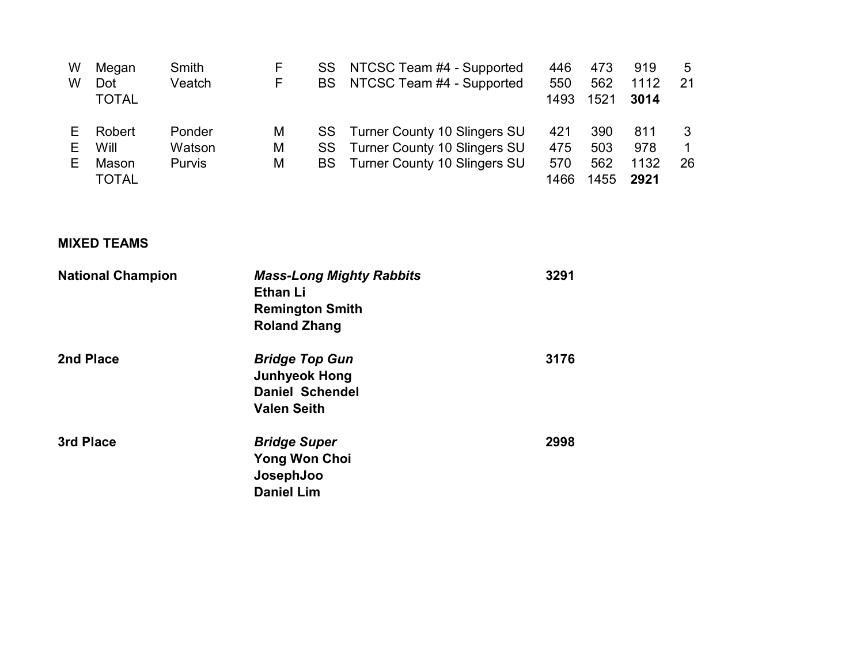| W  | Megan        | Smith         | F | SS        | NTCSC Team #4 - Supported           | 446  | 473  | 919  | 5  |
|----|--------------|---------------|---|-----------|-------------------------------------|------|------|------|----|
| W  | Dot          | Veatch        | F | <b>BS</b> | NTCSC Team #4 - Supported           | 550  | 562  | 1112 | 21 |
|    | <b>TOTAL</b> |               |   |           |                                     | 1493 | 1521 | 3014 |    |
|    | Robert       | Ponder        | M | SS.       | <b>Turner County 10 Slingers SU</b> | 421  | 390  | 811  |    |
|    | Will         | Watson        | M | SS.       | <b>Turner County 10 Slingers SU</b> | 475  | 503  | 978  |    |
| F. | Mason        | <b>Purvis</b> | М | <b>BS</b> | <b>Turner County 10 Slingers SU</b> | 570  | 562  | 1132 | 26 |
|    | <b>TOTAL</b> |               |   |           |                                     | 1466 | 1455 | 2921 |    |

### MIXED TEAMS

| <b>National Champion</b> | <b>Mass-Long Mighty Rabbits</b><br><b>Ethan Li</b><br><b>Remington Smith</b><br><b>Roland Zhang</b> | 3291 |
|--------------------------|-----------------------------------------------------------------------------------------------------|------|
| 2nd Place                | <b>Bridge Top Gun</b><br><b>Junhyeok Hong</b><br><b>Daniel Schendel</b><br><b>Valen Seith</b>       | 3176 |
| 3rd Place                | <b>Bridge Super</b><br><b>Yong Won Choi</b><br>JosephJoo<br><b>Daniel Lim</b>                       | 2998 |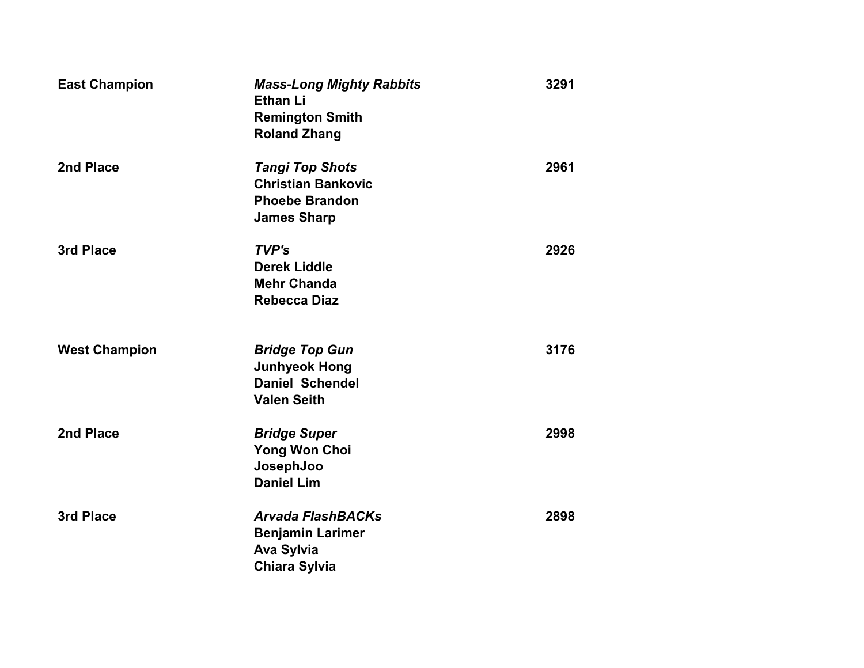| <b>East Champion</b> | <b>Mass-Long Mighty Rabbits</b><br><b>Ethan Li</b><br><b>Remington Smith</b><br><b>Roland Zhang</b> | 3291 |
|----------------------|-----------------------------------------------------------------------------------------------------|------|
| 2nd Place            | <b>Tangi Top Shots</b><br><b>Christian Bankovic</b><br><b>Phoebe Brandon</b><br><b>James Sharp</b>  | 2961 |
| 3rd Place            | TVP's<br><b>Derek Liddle</b><br><b>Mehr Chanda</b><br><b>Rebecca Diaz</b>                           | 2926 |
| <b>West Champion</b> | <b>Bridge Top Gun</b><br><b>Junhyeok Hong</b><br><b>Daniel Schendel</b><br><b>Valen Seith</b>       | 3176 |
| 2nd Place            | <b>Bridge Super</b><br><b>Yong Won Choi</b><br>JosephJoo<br><b>Daniel Lim</b>                       | 2998 |
| 3rd Place            | <b>Arvada FlashBACKs</b><br><b>Benjamin Larimer</b><br><b>Ava Sylvia</b><br><b>Chiara Sylvia</b>    | 2898 |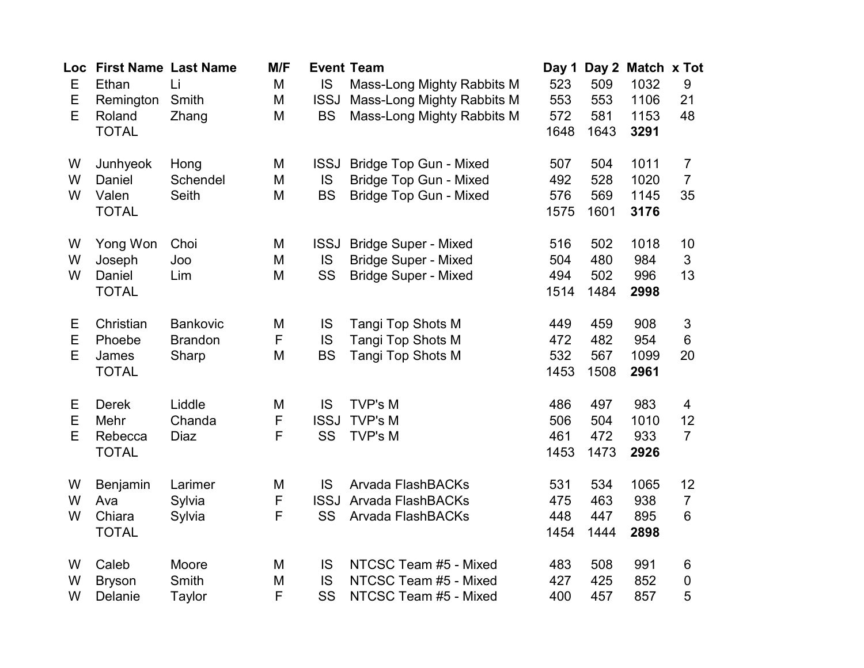| Loc<br>E<br>E<br>E | <b>First Name Last Name</b><br>Ethan<br>Remington<br>Roland<br><b>TOTAL</b> | Li<br>Smith<br>Zhang                | M/F<br>M<br>M<br>M | IS<br><b>ISSJ</b><br><b>BS</b>        | <b>Event Team</b><br>Mass-Long Mighty Rabbits M<br>Mass-Long Mighty Rabbits M<br>Mass-Long Mighty Rabbits M | Day 1<br>523<br>553<br>572<br>1648 | 509<br>553<br>581<br>1643 | Day 2 Match x Tot<br>1032<br>1106<br>1153<br>3291 | $9\,$<br>21<br>48                      |
|--------------------|-----------------------------------------------------------------------------|-------------------------------------|--------------------|---------------------------------------|-------------------------------------------------------------------------------------------------------------|------------------------------------|---------------------------|---------------------------------------------------|----------------------------------------|
| W<br>W<br>W        | Junhyeok<br>Daniel<br>Valen<br><b>TOTAL</b>                                 | Hong<br>Schendel<br>Seith           | Μ<br>M<br>M        | <b>ISSJ</b><br><b>IS</b><br><b>BS</b> | <b>Bridge Top Gun - Mixed</b><br><b>Bridge Top Gun - Mixed</b><br><b>Bridge Top Gun - Mixed</b>             | 507<br>492<br>576<br>1575          | 504<br>528<br>569<br>1601 | 1011<br>1020<br>1145<br>3176                      | $\overline{7}$<br>$\overline{7}$<br>35 |
| W<br>W<br>W        | Yong Won<br>Joseph<br>Daniel<br><b>TOTAL</b>                                | Choi<br>Joo<br>Lim                  | M<br>M<br>M        | <b>ISSJ</b><br><b>IS</b><br>SS        | <b>Bridge Super - Mixed</b><br><b>Bridge Super - Mixed</b><br><b>Bridge Super - Mixed</b>                   | 516<br>504<br>494<br>1514          | 502<br>480<br>502<br>1484 | 1018<br>984<br>996<br>2998                        | 10<br>3<br>13                          |
| Ε<br>Е<br>E        | Christian<br>Phoebe<br>James<br><b>TOTAL</b>                                | Bankovic<br><b>Brandon</b><br>Sharp | M<br>F<br>M        | IS<br>IS<br><b>BS</b>                 | Tangi Top Shots M<br>Tangi Top Shots M<br><b>Tangi Top Shots M</b>                                          | 449<br>472<br>532<br>1453          | 459<br>482<br>567<br>1508 | 908<br>954<br>1099<br>2961                        | $\mathfrak{S}$<br>6<br>20              |
| Ε<br>Е<br>E        | <b>Derek</b><br>Mehr<br>Rebecca<br><b>TOTAL</b>                             | Liddle<br>Chanda<br>Diaz            | M<br>F<br>F        | <b>IS</b><br><b>ISSJ</b><br>SS        | <b>TVP's M</b><br><b>TVP's M</b><br><b>TVP's M</b>                                                          | 486<br>506<br>461<br>1453          | 497<br>504<br>472<br>1473 | 983<br>1010<br>933<br>2926                        | 4<br>12<br>$\overline{7}$              |
| W<br>W<br>W        | Benjamin<br>Ava<br>Chiara<br><b>TOTAL</b>                                   | Larimer<br>Sylvia<br>Sylvia         | M<br>F<br>F        | IS<br><b>ISSJ</b><br>SS               | <b>Arvada FlashBACKs</b><br>Arvada FlashBACKs<br><b>Arvada FlashBACKs</b>                                   | 531<br>475<br>448<br>1454          | 534<br>463<br>447<br>1444 | 1065<br>938<br>895<br>2898                        | 12<br>$\overline{7}$<br>6              |
| W<br>W<br>W        | Caleb<br><b>Bryson</b><br>Delanie                                           | Moore<br>Smith<br><b>Taylor</b>     | Μ<br>M<br>F        | IS<br><b>IS</b><br>SS                 | NTCSC Team #5 - Mixed<br>NTCSC Team #5 - Mixed<br>NTCSC Team #5 - Mixed                                     | 483<br>427<br>400                  | 508<br>425<br>457         | 991<br>852<br>857                                 | 6<br>$\boldsymbol{0}$<br>5             |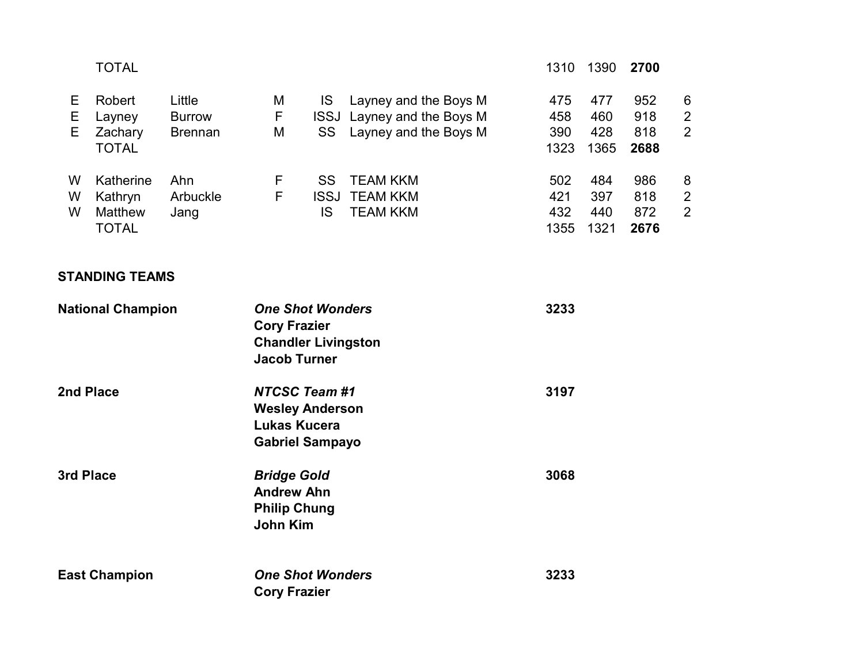|                          | <b>TOTAL</b>                                    |                                           |                                                                                                     |                        |                                                                              | 1310                      | 1390                      | 2700                      |                                       |
|--------------------------|-------------------------------------------------|-------------------------------------------|-----------------------------------------------------------------------------------------------------|------------------------|------------------------------------------------------------------------------|---------------------------|---------------------------|---------------------------|---------------------------------------|
| Е<br>Е<br>E              | Robert<br>Layney<br>Zachary<br><b>TOTAL</b>     | Little<br><b>Burrow</b><br><b>Brennan</b> | M<br>F.<br>M                                                                                        | <b>IS</b><br>SS        | Layney and the Boys M<br>ISSJ Layney and the Boys M<br>Layney and the Boys M | 475<br>458<br>390<br>1323 | 477<br>460<br>428<br>1365 | 952<br>918<br>818<br>2688 | 6<br>$\overline{2}$<br>$\overline{2}$ |
| W<br>W<br>W              | Katherine<br>Kathryn<br>Matthew<br><b>TOTAL</b> | Ahn<br>Arbuckle<br>Jang                   | F<br>F                                                                                              | <b>SS</b><br><b>IS</b> | <b>TEAM KKM</b><br><b>ISSJ TEAM KKM</b><br><b>TEAM KKM</b>                   | 502<br>421<br>432<br>1355 | 484<br>397<br>440<br>1321 | 986<br>818<br>872<br>2676 | 8<br>2<br>$\overline{2}$              |
|                          | <b>STANDING TEAMS</b>                           |                                           |                                                                                                     |                        |                                                                              |                           |                           |                           |                                       |
| <b>National Champion</b> |                                                 |                                           | <b>One Shot Wonders</b><br><b>Cory Frazier</b><br><b>Chandler Livingston</b><br><b>Jacob Turner</b> |                        | 3233                                                                         |                           |                           |                           |                                       |
| 2nd Place                |                                                 |                                           | <b>NTCSC Team #1</b><br><b>Wesley Anderson</b><br><b>Lukas Kucera</b><br><b>Gabriel Sampayo</b>     |                        |                                                                              | 3197                      |                           |                           |                                       |
| 3rd Place                |                                                 |                                           | <b>Bridge Gold</b><br><b>Andrew Ahn</b><br><b>Philip Chung</b><br><b>John Kim</b>                   |                        |                                                                              | 3068                      |                           |                           |                                       |
| <b>East Champion</b>     |                                                 |                                           | <b>One Shot Wonders</b><br><b>Cory Frazier</b>                                                      |                        |                                                                              | 3233                      |                           |                           |                                       |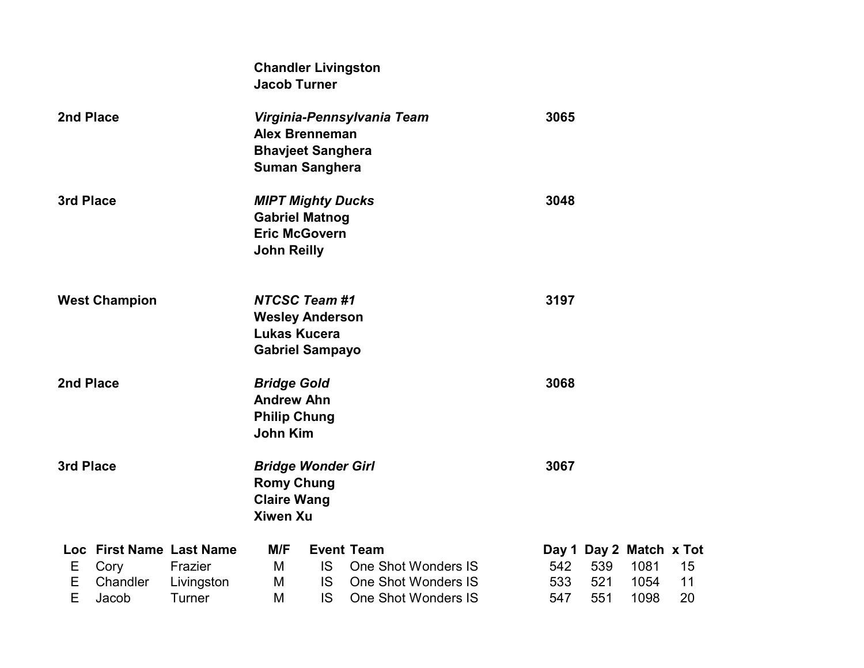|                      |                          |            | <b>Chandler Livingston</b><br><b>Jacob Turner</b>                                               |           |                            |  |      |     |                         |    |  |
|----------------------|--------------------------|------------|-------------------------------------------------------------------------------------------------|-----------|----------------------------|--|------|-----|-------------------------|----|--|
| 2nd Place            |                          |            | <b>Alex Brenneman</b><br><b>Bhavjeet Sanghera</b><br><b>Suman Sanghera</b>                      |           | Virginia-Pennsylvania Team |  | 3065 |     |                         |    |  |
| 3rd Place            |                          |            | <b>MIPT Mighty Ducks</b><br><b>Gabriel Matnog</b><br><b>Eric McGovern</b><br><b>John Reilly</b> |           |                            |  | 3048 |     |                         |    |  |
| <b>West Champion</b> |                          |            | <b>NTCSC Team #1</b><br><b>Wesley Anderson</b><br><b>Lukas Kucera</b><br><b>Gabriel Sampayo</b> |           |                            |  | 3197 |     |                         |    |  |
| 2nd Place            |                          |            | <b>Bridge Gold</b><br><b>Andrew Ahn</b><br><b>Philip Chung</b><br><b>John Kim</b>               |           |                            |  | 3068 |     |                         |    |  |
| 3rd Place            |                          |            | <b>Bridge Wonder Girl</b><br><b>Romy Chung</b><br><b>Claire Wang</b><br><b>Xiwen Xu</b>         |           |                            |  | 3067 |     |                         |    |  |
|                      | Loc First Name Last Name |            | M/F                                                                                             |           | <b>Event Team</b>          |  |      |     | Day 1 Day 2 Match x Tot |    |  |
| Е                    | Cory                     | Frazier    | M                                                                                               | IS.       | <b>One Shot Wonders IS</b> |  | 542  | 539 | 1081                    | 15 |  |
| Ε                    | Chandler                 | Livingston | M                                                                                               | IS.       | <b>One Shot Wonders IS</b> |  | 533  | 521 | 1054                    | 11 |  |
| E                    | Jacob                    | Turner     | M                                                                                               | <b>IS</b> | <b>One Shot Wonders IS</b> |  | 547  | 551 | 1098                    | 20 |  |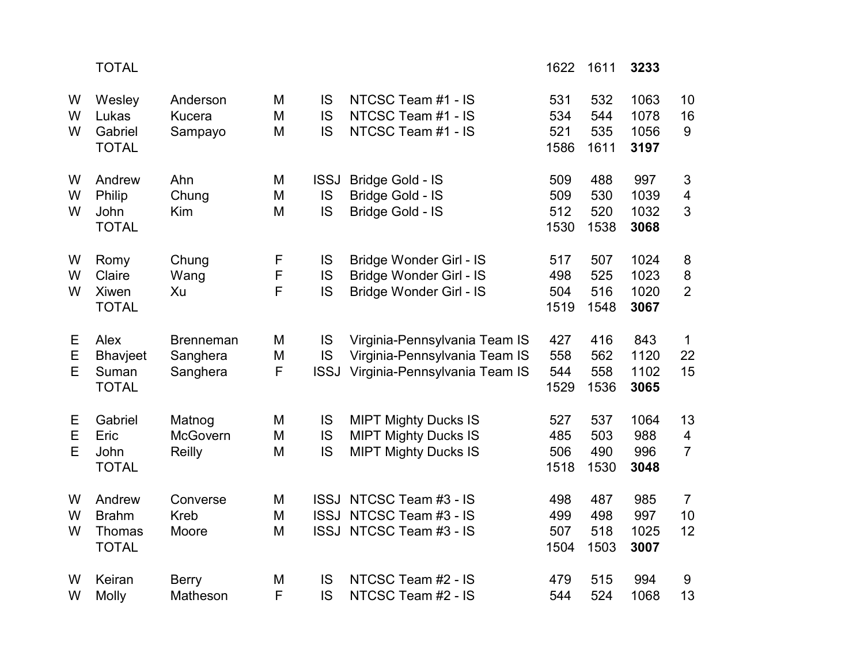|             | <b>TOTAL</b>                                            |                                          |                       |                         |                                                                                                 | 1622                      | 1611                      | 3233                         |                                                 |
|-------------|---------------------------------------------------------|------------------------------------------|-----------------------|-------------------------|-------------------------------------------------------------------------------------------------|---------------------------|---------------------------|------------------------------|-------------------------------------------------|
| W<br>W<br>W | Wesley<br>Lukas<br>Gabriel<br><b>TOTAL</b>              | Anderson<br><b>Kucera</b><br>Sampayo     | M<br>M<br>M           | IS<br>IS<br><b>IS</b>   | NTCSC Team #1 - IS<br>NTCSC Team #1 - IS<br>NTCSC Team #1 - IS                                  | 531<br>534<br>521<br>1586 | 532<br>544<br>535<br>1611 | 1063<br>1078<br>1056<br>3197 | 10<br>16<br>9                                   |
| W<br>W<br>W | Andrew<br>Philip<br>John<br><b>TOTAL</b>                | Ahn<br>Chung<br>Kim                      | M<br>M<br>M           | <b>ISSJ</b><br>IS<br>IS | Bridge Gold - IS<br>Bridge Gold - IS<br>Bridge Gold - IS                                        | 509<br>509<br>512<br>1530 | 488<br>530<br>520<br>1538 | 997<br>1039<br>1032<br>3068  | 3<br>$\overline{4}$<br>$\overline{3}$           |
| W<br>W<br>W | Romy<br>Claire<br><b>Xiwen</b><br><b>TOTAL</b>          | Chung<br>Wang<br>Xu                      | F<br>$\mathsf F$<br>F | IS<br>IS<br><b>IS</b>   | Bridge Wonder Girl - IS<br>Bridge Wonder Girl - IS<br><b>Bridge Wonder Girl - IS</b>            | 517<br>498<br>504<br>1519 | 507<br>525<br>516<br>1548 | 1024<br>1023<br>1020<br>3067 | 8<br>8<br>$\overline{2}$                        |
| Е<br>E<br>E | Alex<br><b>Bhavjeet</b><br>Suman<br><b>TOTAL</b>        | <b>Brenneman</b><br>Sanghera<br>Sanghera | M<br>M<br>F           | IS<br>IS<br><b>ISSJ</b> | Virginia-Pennsylvania Team IS<br>Virginia-Pennsylvania Team IS<br>Virginia-Pennsylvania Team IS | 427<br>558<br>544<br>1529 | 416<br>562<br>558<br>1536 | 843<br>1120<br>1102<br>3065  | $\mathbf 1$<br>22<br>15                         |
| Е<br>Е<br>E | Gabriel<br>Eric<br>John<br><b>TOTAL</b>                 | Matnog<br>McGovern<br>Reilly             | M<br>M<br>M           | IS<br>IS<br>IS          | <b>MIPT Mighty Ducks IS</b><br><b>MIPT Mighty Ducks IS</b><br><b>MIPT Mighty Ducks IS</b>       | 527<br>485<br>506<br>1518 | 537<br>503<br>490<br>1530 | 1064<br>988<br>996<br>3048   | 13<br>$\overline{\mathbf{4}}$<br>$\overline{7}$ |
| W<br>W<br>W | Andrew<br><b>Brahm</b><br><b>Thomas</b><br><b>TOTAL</b> | Converse<br><b>Kreb</b><br>Moore         | M<br>M<br>M           |                         | ISSJ NTCSC Team #3 - IS<br>ISSJ NTCSC Team #3 - IS<br>ISSJ NTCSC Team #3 - IS                   | 498<br>499<br>507<br>1504 | 487<br>498<br>518<br>1503 | 985<br>997<br>1025<br>3007   | $\overline{7}$<br>10<br>12                      |
| W<br>W      | Keiran<br>Molly                                         | <b>Berry</b><br>Matheson                 | M<br>F                | IS<br>IS                | NTCSC Team #2 - IS<br>NTCSC Team #2 - IS                                                        | 479<br>544                | 515<br>524                | 994<br>1068                  | 9<br>13                                         |